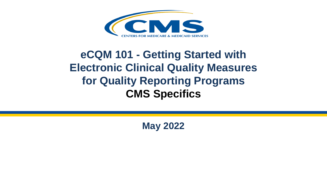

#### **eCQM 101 - Getting Started with Electronic Clinical Quality Measures for Quality Reporting Programs CMS Specifics**

**May 2022**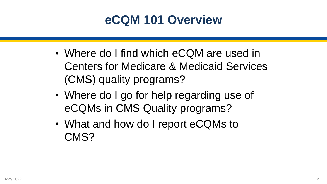#### **eCQM 101 Overview**

- Where do I find which eCQM are used in Centers for Medicare & Medicaid Services (CMS) quality programs?
- Where do I go for help regarding use of eCQMs in CMS Quality programs?
- What and how do I report eCQMs to CMS?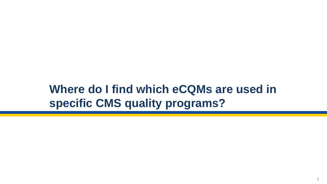#### **Where do I find which eCQMs are used in specific CMS quality programs?**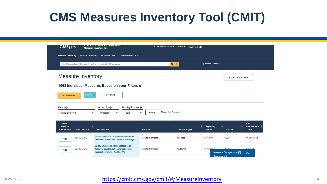## **CMS Measures Inventory Tool (CMIT)**

| <b>CONFIDENTIAL INTERFERENCE AND A REPORT OF DECISION IN A LOCAL CONFIDENTIAL CONFIDENTIAL CONFIDENTIAL CONFIDENTIAL</b><br><b>CMS.gov</b><br>External Resources •<br>About $\blacktriangleright$<br>Login to CMIT<br><b>Measures Inventory Tool</b><br>Measure Summary Measures In Use Environmental Scan<br><b>Measure Inventory</b> |  |
|----------------------------------------------------------------------------------------------------------------------------------------------------------------------------------------------------------------------------------------------------------------------------------------------------------------------------------------|--|
| How do I search?<br>Enter Keywords or Measure ID to Search Individual Measures<br>$x \alpha$<br><b>Measure Inventory</b><br><b>Export Excel File</b>                                                                                                                                                                                   |  |
| 1065 Individual Measures Based on your Filters o                                                                                                                                                                                                                                                                                       |  |
| Active $\overline{y}$<br><b>Clear All</b><br><b>Add Filters</b>                                                                                                                                                                                                                                                                        |  |
| Views <b>O</b><br>Group By 0<br>Display Format <sup>O</sup><br><b>Show/Hide Columns</b><br><b>Reset</b><br>None Selected<br>Table<br>Program<br>$\checkmark$<br>$\check{ }$<br>$\checkmark$                                                                                                                                            |  |
| CBE<br>Add to<br>Endorsement<br>$\blacktriangle$<br>$\overline{\phantom{a}}$<br><b>Measure</b><br>Reporting<br><b>CMIT Ref. No</b><br><b>Measure Title</b><br><b>Status</b><br>CBE ID<br><b>Status</b><br>Comparison<br><b>Measure Type</b><br>Program                                                                                 |  |
| (SUB)-3 Alcohol & Other Drug Use Disorder<br>05610-C-HC<br>9999<br><b>Hospital Compare</b><br><b>D</b> Active<br>Not Endorsed<br>Process<br><b>Add</b><br><b>Treatment Provided or Offered at Discharge</b>                                                                                                                            |  |
| 30-day all-cause unplanned readmission<br>0000<br>02800-C-HC<br><b>Hospital Compare</b><br>Enderce<br>Outcome<br><b>D</b> Active<br>following psychiatric hospitalization in an<br>Add<br>inpatient psychiatric facility (IPF)<br><b>Measure Comparison (0)</b><br>$\blacktriangle$                                                    |  |

#### May 2022 **https://cmit.cms.gov/cmit/#/MeasureInventory** 4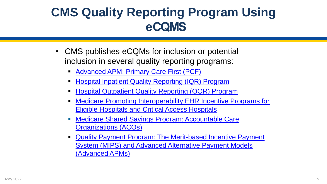## **CMS Quality Reporting Program Using eCQMS**

- CMS publishes eCQMs for inclusion or potential inclusion in several quality reporting programs:
	- [Advanced APM: Primary Care First \(PCF\)](https://innovation.cms.gov/innovation-models/primary-care-first-model-options)
	- **[Hospital Inpatient Quality Reporting \(IQR\) Program](https://www.qualitynet.org/inpatient/iqr)**
	- **[Hospital Outpatient Quality Reporting \(OQR\) Program](https://qualitynet.cms.gov/outpatient)**
	- **[Medicare Promoting Interoperability EHR Incentive Programs for](https://www.cms.gov/Regulations-and-Guidance/Legislation/EHRIncentivePrograms/index.html)** Eligible Hospitals and Critical Access Hospitals
	- **[Medicare Shared Savings Program: Accountable Care](https://www.cms.gov/Medicare/Medicare-Fee-for-Service-Payment/sharedsavingsprogram/program-guidance-and-specifications#quality-resources-and-information)** Organizations (ACOs)
	- Quality Payment Program: The Merit-based Incentive Payment [System \(MIPS\) and Advanced Alternative Payment Models](https://qpp.cms.gov/) (Advanced APMs)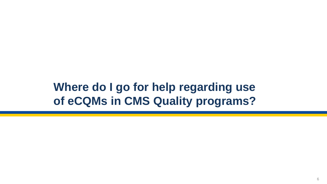#### **Where do I go for help regarding use of eCQMs in CMS Quality programs?**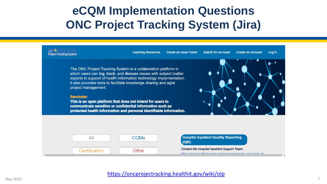#### **eCQM Implementation Questions ONC Project Tracking System (Jira)**



#### <https://oncprojectracking.healthit.gov/wiki/olp>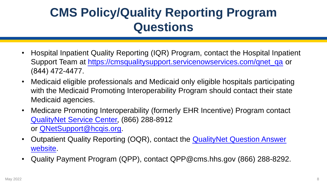## **CMS Policy/Quality Reporting Program Questions**

- Hospital Inpatient Quality Reporting (IQR) Program, contact the Hospital Inpatient Support Team at [https://cmsqualitysupport.servicenowservices.com/qnet\\_qa](https://cmsqualitysupport.servicenowservices.com/qnet_qa) or (844) 472-4477.
- Medicaid eligible professionals and Medicaid only eligible hospitals participating with the Medicaid Promoting Interoperability Program should contact their state Medicaid agencies.
- Medicare Promoting Interoperability (formerly EHR Incentive) Program contact QualityNet [Service Center,](https://qualitynet.cms.gov/support) (866) 288-8912 or [QNetSupport@hcqis.org](mailto:QNetSupport@hcqis.org).
- [Outpatient Quality Reporting \(OQR\), contact the](https://cmsqualitysupport.servicenowservices.com/qnet_qa?id=ask_a_question) QualityNet Question Answer website.
- Quality Payment Program (QPP), contact QPP@cms.hhs.gov (866) 288-8292.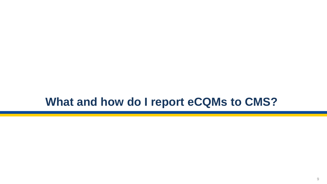#### **What and how do I report eCQMs to CMS?**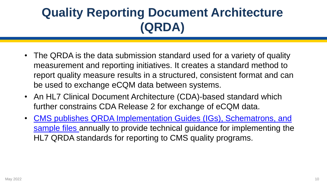## **Quality Reporting Document Architecture (QRDA)**

- The QRDA is the data submission standard used for a variety of quality measurement and reporting initiatives. It creates a standard method to report quality measure results in a structured, consistent format and can be used to exchange eCQM data between systems.
- An HL7 Clinical Document Architecture (CDA)-based standard which further constrains CDA Release 2 for exchange of eCQM data.
- [CMS publishes QRDA Implementation Guides \(IGs\), Schematrons, and](https://ecqi.healthit.gov/qrda) sample files annually to provide technical guidance for implementing the HL7 QRDA standards for reporting to CMS quality programs.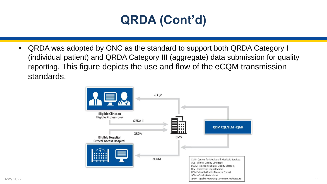## **QRDA (Cont'd)**

• QRDA was adopted by ONC as the standard to support both QRDA Category I (individual patient) and QRDA Category III (aggregate) data submission for quality reporting. This figure depicts the use and flow of the eCQM transmission standards.

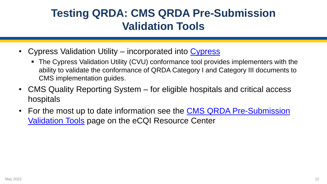#### **Testing QRDA: CMS QRDA Pre-Submission Validation Tools**

- [Cypress](https://www.healthit.gov/cypress/) Validation Utility incorporated into Cypress
	- The Cypress Validation Utility (CVU) conformance tool provides implementers with the ability to validate the conformance of QRDA Category I and Category III documents to CMS implementation guides.
- CMS Quality Reporting System for eligible hospitals and critical access hospitals
- For the most up to date information see the CMS QRDA Pre-Submission Validation Tools page on the eCQI Resource Center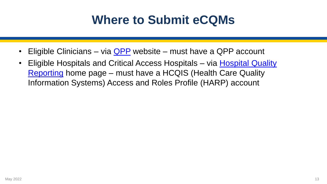### **Where to Submit eCQMs**

- Eligible Clinicians via  $QPP$  website must have a QPP account
- [Eligible Hospitals and Critical Access Hospitals –](https://hqr.cms.gov/hqrng/login) via Hospital Quality Reporting home page – must have a HCQIS (Health Care Quality Information Systems) Access and Roles Profile (HARP) account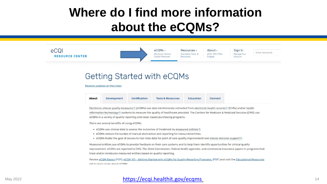### **Where do I find more information about the eCQMs?**



#### Getting Started with eCQMs

Receive updates on this topic

| <b>Tools &amp; Resources</b><br><b>Education</b><br><b>Connect</b> |  | <b>Certification</b> | Development | <b>About</b> |
|--------------------------------------------------------------------|--|----------------------|-------------|--------------|
|--------------------------------------------------------------------|--|----------------------|-------------|--------------|

Electronic clinical quality measures ® (eCQMs) use data electronically extracted from electronic health records ® (EHRs) and/or health information technology ® systems to measure the quality of healthcare provided. The Centers for Medicare & Medicaid Services (CMS) use eCQMs in a variety of quality reporting and value-based purchasing programs.

There are several benefits of using eCQMs:

- eCQMs use clinical data to assess the outcomes of treatment by measured entities (0).
- eCQMs reduce the burden of manual abstraction and reporting for measured entities.
- eCQMs foster the goal of access to real-time data for point of care quality improvement and clinical decision support ®.

Measured entities use eCQMs to provide feedback on their care systems and to help them identify opportunities for clinical quality improvement. eCQMs are reported to CMS, The Joint Commission, federal health agencies, and commercial insurance payers in programs that track and/or reimburse measured entities based on quality reporting.

Review eCQM Basics (PDF), eCQM 101 - Getting Started with eCQMs for Quality Reporting Programs, (PDF) and visit the Educational Resources tab to learn more about eCOMs

#### May 2022 **<https://ecqi.healthit.gov/ecqms>** 14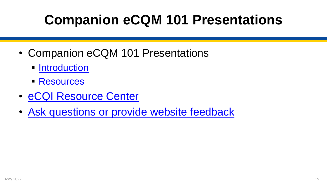# **Companion eCQM 101 Presentations**

- Companion eCQM 101 Presentations
	- **E** [Introduction](https://ecqi.healthit.gov/sites/default/files/eCQM-101-Introduction-2022-508.pdf)
	- [Resources](https://ecqi.healthit.gov/sites/default/files/eCQM%20101%20Resources.pdf)
- [eCQI Resource Center](https://ecqi.healthit.gov/)
- [Ask questions or provide website feedback](mailto:ecqi-resource-center@hhs.gov)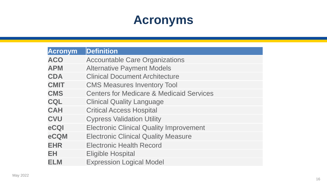### **Acronyms**

| Acronym     | <b>Definition</b>                                   |
|-------------|-----------------------------------------------------|
| <b>ACO</b>  | <b>Accountable Care Organizations</b>               |
| <b>APM</b>  | <b>Alternative Payment Models</b>                   |
| <b>CDA</b>  | <b>Clinical Document Architecture</b>               |
| <b>CMIT</b> | <b>CMS Measures Inventory Tool</b>                  |
| <b>CMS</b>  | <b>Centers for Medicare &amp; Medicaid Services</b> |
| <b>CQL</b>  | <b>Clinical Quality Language</b>                    |
| <b>CAH</b>  | <b>Critical Access Hospital</b>                     |
| <b>CVU</b>  | <b>Cypress Validation Utility</b>                   |
| eCQI        | <b>Electronic Clinical Quality Improvement</b>      |
| eCQM        | <b>Electronic Clinical Quality Measure</b>          |
| <b>EHR</b>  | <b>Electronic Health Record</b>                     |
| EH          | <b>Eligible Hospital</b>                            |
| <b>ELM</b>  | <b>Expression Logical Model</b>                     |